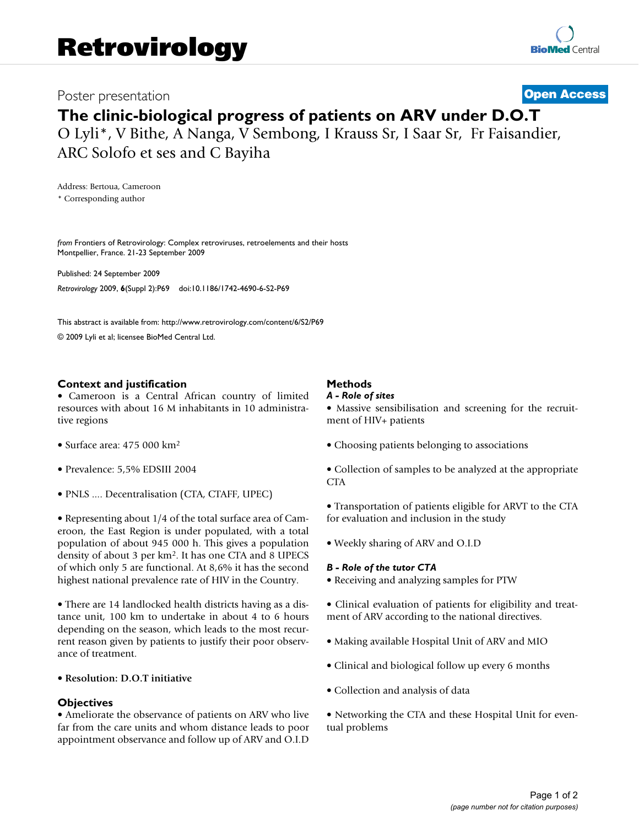# **Poster presentation [Open Access](http://www.biomedcentral.com/info/about/charter/)**

# **The clinic-biological progress of patients on ARV under D.O.T**

O Lyli\*, V Bithe, A Nanga, V Sembong, I Krauss Sr, I Saar Sr, Fr Faisandier, ARC Solofo et ses and C Bayiha

Address: Bertoua, Cameroon \* Corresponding author

*from* Frontiers of Retrovirology: Complex retroviruses, retroelements and their hosts Montpellier, France. 21-23 September 2009

Published: 24 September 2009 *Retrovirology* 2009, **6**(Suppl 2):P69 doi:10.1186/1742-4690-6-S2-P69

[This abstract is available from: http://www.retrovirology.com/content/6/S2/P69](http://www.retrovirology.com/content/6/S2/P69)

© 2009 Lyli et al; licensee BioMed Central Ltd.

# **Context and justification**

• Cameroon is a Central African country of limited resources with about 16 M inhabitants in 10 administrative regions

- Surface area: 475 000 km2
- Prevalence: 5,5% EDSIII 2004
- PNLS .... Decentralisation (CTA, CTAFF, UPEC)

• Representing about 1/4 of the total surface area of Cameroon, the East Region is under populated, with a total population of about 945 000 h. This gives a population density of about 3 per km2. It has one CTA and 8 UPECS of which only 5 are functional. At 8,6% it has the second highest national prevalence rate of HIV in the Country.

• There are 14 landlocked health districts having as a distance unit, 100 km to undertake in about 4 to 6 hours depending on the season, which leads to the most recurrent reason given by patients to justify their poor observance of treatment.

# • **Resolution: D.O.T initiative**

# **Objectives**

• Ameliorate the observance of patients on ARV who live far from the care units and whom distance leads to poor appointment observance and follow up of ARV and O.I.D

# **Methods**

#### *A - Role of sites*

• Massive sensibilisation and screening for the recruitment of HIV+ patients

• Choosing patients belonging to associations

• Collection of samples to be analyzed at the appropriate CTA

• Transportation of patients eligible for ARVT to the CTA for evaluation and inclusion in the study

• Weekly sharing of ARV and O.I.D

# *B - Role of the tutor CTA*

• Receiving and analyzing samples for PTW

• Clinical evaluation of patients for eligibility and treatment of ARV according to the national directives.

- Making available Hospital Unit of ARV and MIO
- Clinical and biological follow up every 6 months
- Collection and analysis of data
- Networking the CTA and these Hospital Unit for eventual problems